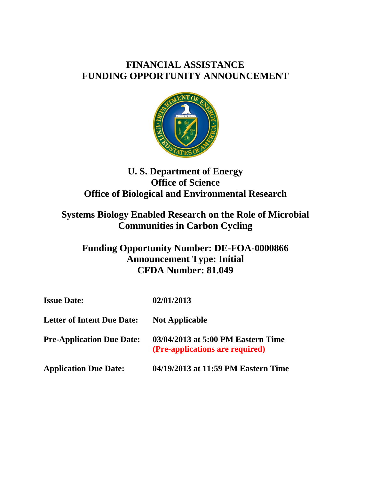# **FINANCIAL ASSISTANCE FUNDING OPPORTUNITY ANNOUNCEMENT**



# **U. S. Department of Energy Office of Science Office of Biological and Environmental Research**

# **Systems Biology Enabled Research on the Role of Microbial Communities in Carbon Cycling**

# **Funding Opportunity Number: DE-FOA-0000866 Announcement Type: Initial CFDA Number: 81.049**

| <b>Issue Date:</b>                | 02/01/2013                                                            |
|-----------------------------------|-----------------------------------------------------------------------|
| <b>Letter of Intent Due Date:</b> | <b>Not Applicable</b>                                                 |
| <b>Pre-Application Due Date:</b>  | 03/04/2013 at 5:00 PM Eastern Time<br>(Pre-applications are required) |
| <b>Application Due Date:</b>      | 04/19/2013 at 11:59 PM Eastern Time                                   |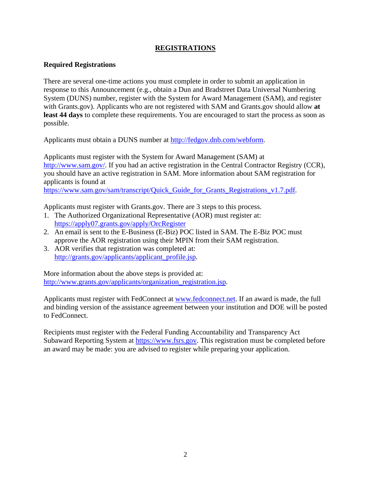## **REGISTRATIONS**

#### **Required Registrations**

There are several one-time actions you must complete in order to submit an application in response to this Announcement (e.g., obtain a Dun and Bradstreet Data Universal Numbering System (DUNS) number, register with the System for Award Management (SAM), and register with Grants.gov). Applicants who are not registered with SAM and Grants.gov should allow **at least 44 days** to complete these requirements. You are encouraged to start the process as soon as possible.

Applicants must obtain a DUNS number at http://fedgov.dnb.com/webform.

Applicants must register with the System for Award Management (SAM) at http://www.sam.gov/. If you had an active registration in the Central Contractor Registry (CCR), you should have an active registration in SAM. More information about SAM registration for applicants is found at

https://www.sam.gov/sam/transcript/Quick\_Guide\_for\_Grants\_Registrations\_v1.7.pdf.

Applicants must register with Grants.gov. There are 3 steps to this process.

- 1. The Authorized Organizational Representative (AOR) must register at: https://apply07.grants.gov/apply/OrcRegister
- 2. An email is sent to the E-Business (E-Biz) POC listed in SAM. The E-Biz POC must approve the AOR registration using their MPIN from their SAM registration.
- 3. AOR verifies that registration was completed at: http://grants.gov/applicants/applicant\_profile.jsp.

More information about the above steps is provided at: http://www.grants.gov/applicants/organization\_registration.jsp.

Applicants must register with FedConnect at www.fedconnect.net. If an award is made, the full and binding version of the assistance agreement between your institution and DOE will be posted to FedConnect.

Recipients must register with the Federal Funding Accountability and Transparency Act Subaward Reporting System at https://www.fsrs.gov. This registration must be completed before an award may be made: you are advised to register while preparing your application.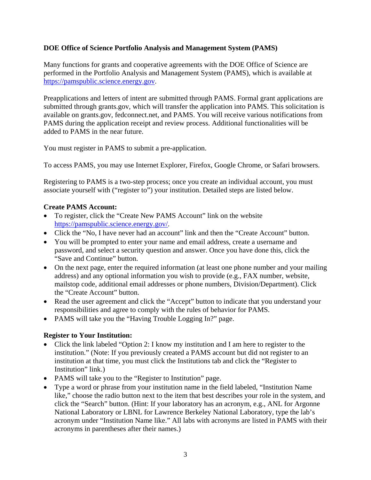#### **DOE Office of Science Portfolio Analysis and Management System (PAMS)**

Many functions for grants and cooperative agreements with the DOE Office of Science are performed in the Portfolio Analysis and Management System (PAMS), which is available at https://pamspublic.science.energy.gov.

Preapplications and letters of intent are submitted through PAMS. Formal grant applications are submitted through grants.gov, which will transfer the application into PAMS. This solicitation is available on grants.gov, fedconnect.net, and PAMS. You will receive various notifications from PAMS during the application receipt and review process. Additional functionalities will be added to PAMS in the near future.

You must register in PAMS to submit a pre-application.

To access PAMS, you may use Internet Explorer, Firefox, Google Chrome, or Safari browsers.

Registering to PAMS is a two-step process; once you create an individual account, you must associate yourself with ("register to") your institution. Detailed steps are listed below.

#### **Create PAMS Account:**

- To register, click the "Create New PAMS Account" link on the website https://pamspublic.science.energy.gov/.
- Click the "No, I have never had an account" link and then the "Create Account" button.
- You will be prompted to enter your name and email address, create a username and password, and select a security question and answer. Once you have done this, click the "Save and Continue" button.
- On the next page, enter the required information (at least one phone number and your mailing address) and any optional information you wish to provide (e.g., FAX number, website, mailstop code, additional email addresses or phone numbers, Division/Department). Click the "Create Account" button.
- Read the user agreement and click the "Accept" button to indicate that you understand your responsibilities and agree to comply with the rules of behavior for PAMS.
- PAMS will take you the "Having Trouble Logging In?" page.

## **Register to Your Institution:**

- Click the link labeled "Option 2: I know my institution and I am here to register to the institution." (Note: If you previously created a PAMS account but did not register to an institution at that time, you must click the Institutions tab and click the "Register to Institution" link.)
- PAMS will take you to the "Register to Institution" page.
- Type a word or phrase from your institution name in the field labeled, "Institution Name like," choose the radio button next to the item that best describes your role in the system, and click the "Search" button. (Hint: If your laboratory has an acronym, e.g., ANL for Argonne National Laboratory or LBNL for Lawrence Berkeley National Laboratory, type the lab's acronym under "Institution Name like." All labs with acronyms are listed in PAMS with their acronyms in parentheses after their names.)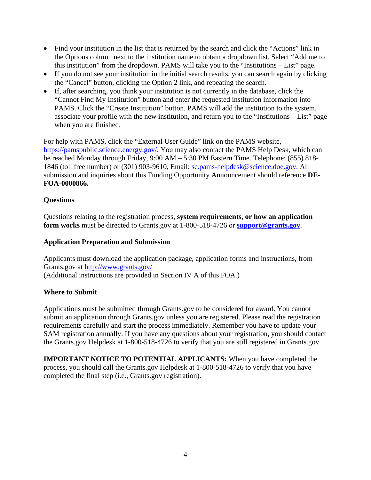- Find your institution in the list that is returned by the search and click the "Actions" link in the Options column next to the institution name to obtain a dropdown list. Select "Add me to this institution" from the dropdown. PAMS will take you to the "Institutions – List" page.
- If you do not see your institution in the initial search results, you can search again by clicking the "Cancel" button, clicking the Option 2 link, and repeating the search.
- If, after searching, you think your institution is not currently in the database, click the "Cannot Find My Institution" button and enter the requested institution information into PAMS. Click the "Create Institution" button. PAMS will add the institution to the system, associate your profile with the new institution, and return you to the "Institutions – List" page when you are finished.

For help with PAMS, click the "External User Guide" link on the PAMS website, https://pamspublic.science.energy.gov/. You may also contact the PAMS Help Desk, which can be reached Monday through Friday, 9:00 AM – 5:30 PM Eastern Time. Telephone: (855) 818- 1846 (toll free number) or (301) 903-9610, Email: sc.pams-helpdesk@science.doe.gov. All submission and inquiries about this Funding Opportunity Announcement should reference **DE-FOA-0000866.**

## **Questions**

Questions relating to the registration process, **system requirements, or how an application form works** must be directed to Grants.gov at 1-800-518-4726 or **support@grants.gov**.

## **Application Preparation and Submission**

Applicants must download the application package, application forms and instructions, from Grants.gov at http://www.grants.gov/ (Additional instructions are provided in Section IV A of this FOA.)

## **Where to Submit**

Applications must be submitted through Grants.gov to be considered for award. You cannot submit an application through Grants.gov unless you are registered. Please read the registration requirements carefully and start the process immediately. Remember you have to update your SAM registration annually. If you have any questions about your registration, you should contact the Grants.gov Helpdesk at 1-800-518-4726 to verify that you are still registered in Grants.gov.

**IMPORTANT NOTICE TO POTENTIAL APPLICANTS:** When you have completed the process, you should call the Grants.gov Helpdesk at 1-800-518-4726 to verify that you have completed the final step (i.e., Grants.gov registration).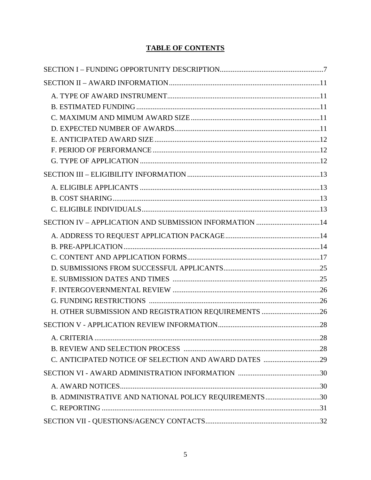# **TABLE OF CONTENTS**

| SECTION IV - APPLICATION AND SUBMISSION INFORMATION 14 |  |
|--------------------------------------------------------|--|
|                                                        |  |
|                                                        |  |
|                                                        |  |
|                                                        |  |
|                                                        |  |
|                                                        |  |
|                                                        |  |
| H. OTHER SUBMISSION AND REGISTRATION REQUIREMENTS 26   |  |
|                                                        |  |
|                                                        |  |
|                                                        |  |
|                                                        |  |
|                                                        |  |
|                                                        |  |
| B. ADMINISTRATIVE AND NATIONAL POLICY REQUIREMENTS 30  |  |
|                                                        |  |
|                                                        |  |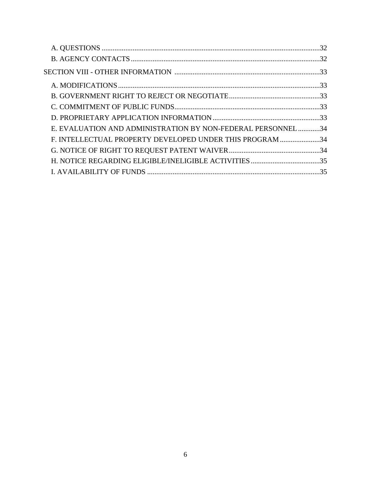| E. EVALUATION AND ADMINISTRATION BY NON-FEDERAL PERSONNEL34 |  |
|-------------------------------------------------------------|--|
| F. INTELLECTUAL PROPERTY DEVELOPED UNDER THIS PROGRAM 34    |  |
|                                                             |  |
|                                                             |  |
|                                                             |  |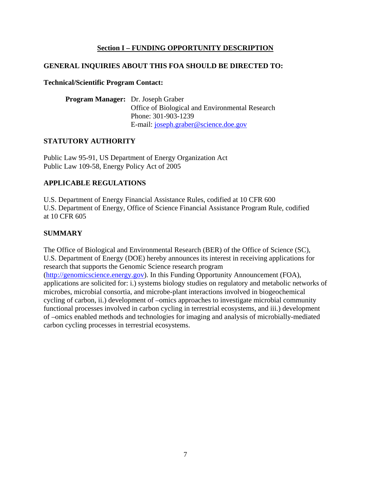## **Section I – FUNDING OPPORTUNITY DESCRIPTION**

## **GENERAL INQUIRIES ABOUT THIS FOA SHOULD BE DIRECTED TO:**

#### **Technical/Scientific Program Contact:**

| <b>Program Manager:</b> Dr. Joseph Graber |                                                 |
|-------------------------------------------|-------------------------------------------------|
|                                           | Office of Biological and Environmental Research |
|                                           | Phone: 301-903-1239                             |
|                                           | E-mail: joseph.graber@science.doe.gov           |

## **STATUTORY AUTHORITY**

Public Law 95-91, US Department of Energy Organization Act Public Law 109-58, Energy Policy Act of 2005

## **APPLICABLE REGULATIONS**

U.S. Department of Energy Financial Assistance Rules, codified at 10 CFR 600 U.S. Department of Energy, Office of Science Financial Assistance Program Rule, codified at 10 CFR 605

## **SUMMARY**

The Office of Biological and Environmental Research (BER) of the Office of Science (SC), U.S. Department of Energy (DOE) hereby announces its interest in receiving applications for research that supports the Genomic Science research program (http://genomicscience.energy.gov). In this Funding Opportunity Announcement (FOA), applications are solicited for: i.) systems biology studies on regulatory and metabolic networks of microbes, microbial consortia, and microbe-plant interactions involved in biogeochemical cycling of carbon, ii.) development of –omics approaches to investigate microbial community

functional processes involved in carbon cycling in terrestrial ecosystems, and iii.) development of –omics enabled methods and technologies for imaging and analysis of microbially-mediated carbon cycling processes in terrestrial ecosystems.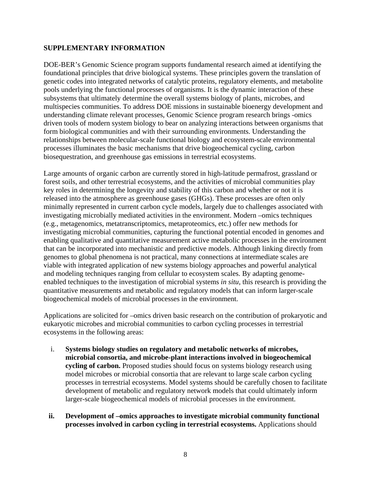#### **SUPPLEMENTARY INFORMATION**

DOE-BER's Genomic Science program supports fundamental research aimed at identifying the foundational principles that drive biological systems. These principles govern the translation of genetic codes into integrated networks of catalytic proteins, regulatory elements, and metabolite pools underlying the functional processes of organisms. It is the dynamic interaction of these subsystems that ultimately determine the overall systems biology of plants, microbes, and multispecies communities. To address DOE missions in sustainable bioenergy development and understanding climate relevant processes, Genomic Science program research brings -omics driven tools of modern system biology to bear on analyzing interactions between organisms that form biological communities and with their surrounding environments. Understanding the relationships between molecular-scale functional biology and ecosystem-scale environmental processes illuminates the basic mechanisms that drive biogeochemical cycling, carbon biosequestration, and greenhouse gas emissions in terrestrial ecosystems.

Large amounts of organic carbon are currently stored in high-latitude permafrost, grassland or forest soils, and other terrestrial ecosystems, and the activities of microbial communities play key roles in determining the longevity and stability of this carbon and whether or not it is released into the atmosphere as greenhouse gases (GHGs). These processes are often only minimally represented in current carbon cycle models, largely due to challenges associated with investigating microbially mediated activities in the environment. Modern –omics techniques (e.g., metagenomics, metatranscriptomics, metaproteomics, etc.) offer new methods for investigating microbial communities, capturing the functional potential encoded in genomes and enabling qualitative and quantitative measurement active metabolic processes in the environment that can be incorporated into mechanistic and predictive models. Although linking directly from genomes to global phenomena is not practical, many connections at intermediate scales are viable with integrated application of new systems biology approaches and powerful analytical and modeling techniques ranging from cellular to ecosystem scales. By adapting genomeenabled techniques to the investigation of microbial systems *in situ*, this research is providing the quantitative measurements and metabolic and regulatory models that can inform larger-scale biogeochemical models of microbial processes in the environment.

Applications are solicited for –omics driven basic research on the contribution of prokaryotic and eukaryotic microbes and microbial communities to carbon cycling processes in terrestrial ecosystems in the following areas:

- i. **Systems biology studies on regulatory and metabolic networks of microbes, microbial consortia, and microbe-plant interactions involved in biogeochemical cycling of carbon.** Proposed studies should focus on systems biology research using model microbes or microbial consortia that are relevant to large scale carbon cycling processes in terrestrial ecosystems. Model systems should be carefully chosen to facilitate development of metabolic and regulatory network models that could ultimately inform larger-scale biogeochemical models of microbial processes in the environment.
- **ii. Development of –omics approaches to investigate microbial community functional processes involved in carbon cycling in terrestrial ecosystems.** Applications should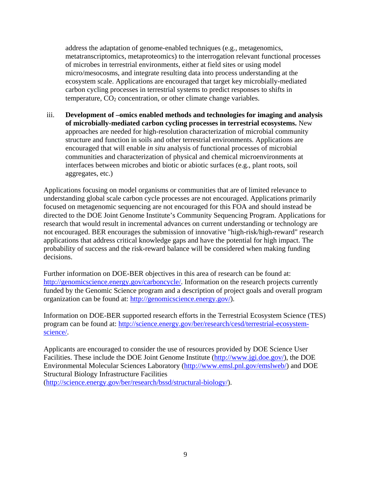address the adaptation of genome-enabled techniques (e.g., metagenomics, metatranscriptomics, metaproteomics) to the interrogation relevant functional processes of microbes in terrestrial environments, either at field sites or using model micro/mesocosms, and integrate resulting data into process understanding at the ecosystem scale. Applications are encouraged that target key microbially-mediated carbon cycling processes in terrestrial systems to predict responses to shifts in temperature,  $CO<sub>2</sub>$  concentration, or other climate change variables.

iii. **Development of –omics enabled methods and technologies for imaging and analysis of microbially-mediated carbon cycling processes in terrestrial ecosystems.** New approaches are needed for high-resolution characterization of microbial community structure and function in soils and other terrestrial environments. Applications are encouraged that will enable *in situ* analysis of functional processes of microbial communities and characterization of physical and chemical microenvironments at interfaces between microbes and biotic or abiotic surfaces (e.g., plant roots, soil aggregates, etc.)

Applications focusing on model organisms or communities that are of limited relevance to understanding global scale carbon cycle processes are not encouraged. Applications primarily focused on metagenomic sequencing are not encouraged for this FOA and should instead be directed to the DOE Joint Genome Institute's Community Sequencing Program. Applications for research that would result in incremental advances on current understanding or technology are not encouraged. BER encourages the submission of innovative "high-risk/high-reward" research applications that address critical knowledge gaps and have the potential for high impact. The probability of success and the risk-reward balance will be considered when making funding decisions.

Further information on DOE-BER objectives in this area of research can be found at: http://genomicscience.energy.gov/carboncycle/. Information on the research projects currently funded by the Genomic Science program and a description of project goals and overall program organization can be found at: http://genomicscience.energy.gov/).

Information on DOE-BER supported research efforts in the Terrestrial Ecosystem Science (TES) program can be found at: http://science.energy.gov/ber/research/cesd/terrestrial-ecosystemscience/.

Applicants are encouraged to consider the use of resources provided by DOE Science User Facilities. These include the DOE Joint Genome Institute (http://www.jgi.doe.gov/), the DOE Environmental Molecular Sciences Laboratory (http://www.emsl.pnl.gov/emslweb/) and DOE Structural Biology Infrastructure Facilities

(http://science.energy.gov/ber/research/bssd/structural-biology/).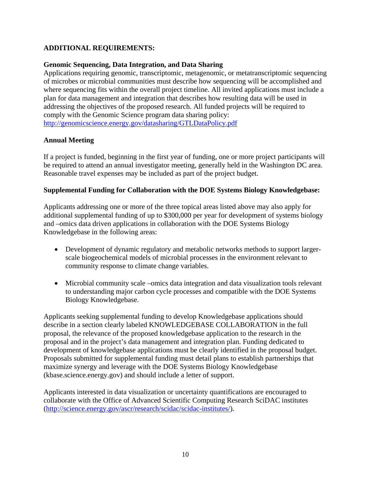## **ADDITIONAL REQUIREMENTS:**

#### **Genomic Sequencing, Data Integration, and Data Sharing**

Applications requiring genomic, transcriptomic, metagenomic, or metatranscriptomic sequencing of microbes or microbial communities must describe how sequencing will be accomplished and where sequencing fits within the overall project timeline. All invited applications must include a plan for data management and integration that describes how resulting data will be used in addressing the objectives of the proposed research. All funded projects will be required to comply with the Genomic Science program data sharing policy: http://genomicscience.energy.gov/datasharing/GTLDataPolicy.pdf

#### **Annual Meeting**

If a project is funded, beginning in the first year of funding, one or more project participants will be required to attend an annual investigator meeting, generally held in the Washington DC area. Reasonable travel expenses may be included as part of the project budget.

#### **Supplemental Funding for Collaboration with the DOE Systems Biology Knowledgebase:**

Applicants addressing one or more of the three topical areas listed above may also apply for additional supplemental funding of up to \$300,000 per year for development of systems biology and –omics data driven applications in collaboration with the DOE Systems Biology Knowledgebase in the following areas:

- Development of dynamic regulatory and metabolic networks methods to support largerscale biogeochemical models of microbial processes in the environment relevant to community response to climate change variables.
- Microbial community scale –omics data integration and data visualization tools relevant to understanding major carbon cycle processes and compatible with the DOE Systems Biology Knowledgebase.

Applicants seeking supplemental funding to develop Knowledgebase applications should describe in a section clearly labeled KNOWLEDGEBASE COLLABORATION in the full proposal, the relevance of the proposed knowledgebase application to the research in the proposal and in the project's data management and integration plan. Funding dedicated to development of knowledgebase applications must be clearly identified in the proposal budget. Proposals submitted for supplemental funding must detail plans to establish partnerships that maximize synergy and leverage with the DOE Systems Biology Knowledgebase (kbase.science.energy.gov) and should include a letter of support.

Applicants interested in data visualization or uncertainty quantifications are encouraged to collaborate with the Office of Advanced Scientific Computing Research SciDAC institutes (http://science.energy.gov/ascr/research/scidac/scidac-institutes/).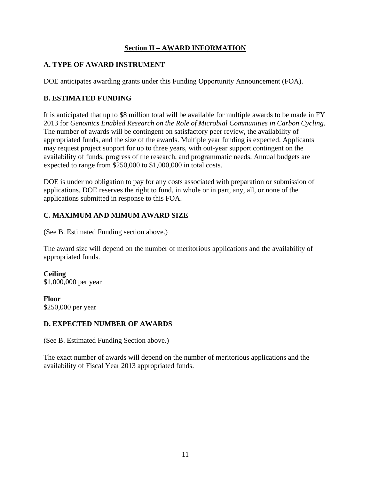## **Section II – AWARD INFORMATION**

## **A. TYPE OF AWARD INSTRUMENT**

DOE anticipates awarding grants under this Funding Opportunity Announcement (FOA).

## **B. ESTIMATED FUNDING**

It is anticipated that up to \$8 million total will be available for multiple awards to be made in FY 2013 for *Genomics Enabled Research on the Role of Microbial Communities in Carbon Cycling*. The number of awards will be contingent on satisfactory peer review, the availability of appropriated funds, and the size of the awards. Multiple year funding is expected. Applicants may request project support for up to three years, with out-year support contingent on the availability of funds, progress of the research, and programmatic needs. Annual budgets are expected to range from \$250,000 to \$1,000,000 in total costs.

DOE is under no obligation to pay for any costs associated with preparation or submission of applications. DOE reserves the right to fund, in whole or in part, any, all, or none of the applications submitted in response to this FOA.

# **C. MAXIMUM AND MIMUM AWARD SIZE**

(See B. Estimated Funding section above.)

The award size will depend on the number of meritorious applications and the availability of appropriated funds.

**Ceiling**  \$1,000,000 per year

**Floor**  \$250,000 per year

## **D. EXPECTED NUMBER OF AWARDS**

(See B. Estimated Funding Section above.)

The exact number of awards will depend on the number of meritorious applications and the availability of Fiscal Year 2013 appropriated funds.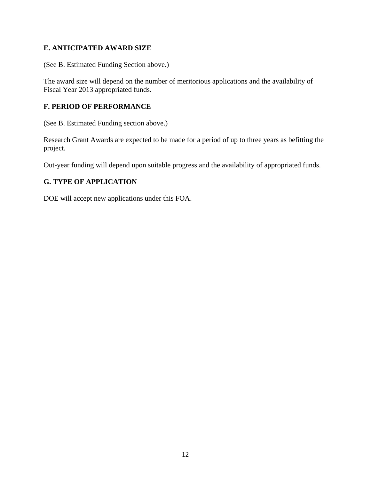## **E. ANTICIPATED AWARD SIZE**

(See B. Estimated Funding Section above.)

The award size will depend on the number of meritorious applications and the availability of Fiscal Year 2013 appropriated funds.

## **F. PERIOD OF PERFORMANCE**

(See B. Estimated Funding section above.)

Research Grant Awards are expected to be made for a period of up to three years as befitting the project.

Out-year funding will depend upon suitable progress and the availability of appropriated funds.

# **G. TYPE OF APPLICATION**

DOE will accept new applications under this FOA.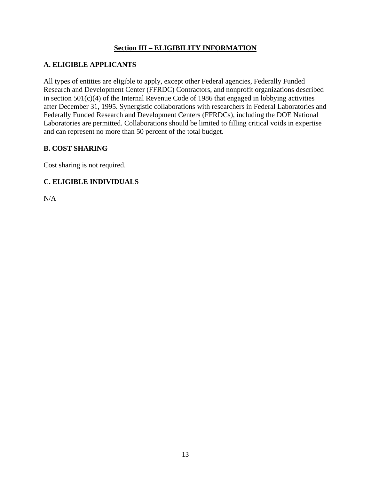## **Section III – ELIGIBILITY INFORMATION**

## **A. ELIGIBLE APPLICANTS**

All types of entities are eligible to apply, except other Federal agencies, Federally Funded Research and Development Center (FFRDC) Contractors, and nonprofit organizations described in section 501(c)(4) of the Internal Revenue Code of 1986 that engaged in lobbying activities after December 31, 1995. Synergistic collaborations with researchers in Federal Laboratories and Federally Funded Research and Development Centers (FFRDCs), including the DOE National Laboratories are permitted. Collaborations should be limited to filling critical voids in expertise and can represent no more than 50 percent of the total budget.

## **B. COST SHARING**

Cost sharing is not required.

# **C. ELIGIBLE INDIVIDUALS**

N/A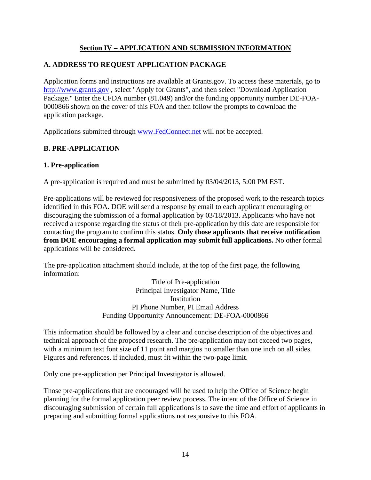## **Section IV – APPLICATION AND SUBMISSION INFORMATION**

## **A. ADDRESS TO REQUEST APPLICATION PACKAGE**

Application forms and instructions are available at Grants.gov. To access these materials, go to http://www.grants.gov , select "Apply for Grants", and then select "Download Application Package." Enter the CFDA number (81.049) and/or the funding opportunity number DE-FOA-0000866 shown on the cover of this FOA and then follow the prompts to download the application package.

Applications submitted through www.FedConnect.net will not be accepted.

## **B. PRE-APPLICATION**

#### **1. Pre-application**

A pre-application is required and must be submitted by 03/04/2013, 5:00 PM EST.

Pre-applications will be reviewed for responsiveness of the proposed work to the research topics identified in this FOA. DOE will send a response by email to each applicant encouraging or discouraging the submission of a formal application by 03/18/2013. Applicants who have not received a response regarding the status of their pre-application by this date are responsible for contacting the program to confirm this status. **Only those applicants that receive notification from DOE encouraging a formal application may submit full applications.** No other formal applications will be considered.

The pre-application attachment should include, at the top of the first page, the following information:

> Title of Pre-application Principal Investigator Name, Title **Institution** PI Phone Number, PI Email Address Funding Opportunity Announcement: DE-FOA-0000866

This information should be followed by a clear and concise description of the objectives and technical approach of the proposed research. The pre-application may not exceed two pages, with a minimum text font size of 11 point and margins no smaller than one inch on all sides. Figures and references, if included, must fit within the two-page limit.

Only one pre-application per Principal Investigator is allowed.

Those pre-applications that are encouraged will be used to help the Office of Science begin planning for the formal application peer review process. The intent of the Office of Science in discouraging submission of certain full applications is to save the time and effort of applicants in preparing and submitting formal applications not responsive to this FOA.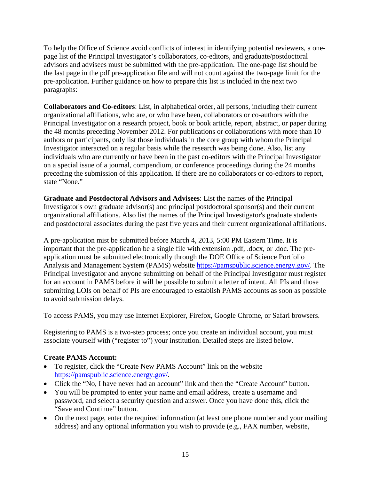To help the Office of Science avoid conflicts of interest in identifying potential reviewers, a onepage list of the Principal Investigator's collaborators, co-editors, and graduate/postdoctoral advisors and advisees must be submitted with the pre-application. The one-page list should be the last page in the pdf pre-application file and will not count against the two-page limit for the pre-application. Further guidance on how to prepare this list is included in the next two paragraphs:

**Collaborators and Co-editors**: List, in alphabetical order, all persons, including their current organizational affiliations, who are, or who have been, collaborators or co-authors with the Principal Investigator on a research project, book or book article, report, abstract, or paper during the 48 months preceding November 2012. For publications or collaborations with more than 10 authors or participants, only list those individuals in the core group with whom the Principal Investigator interacted on a regular basis while the research was being done. Also, list any individuals who are currently or have been in the past co-editors with the Principal Investigator on a special issue of a journal, compendium, or conference proceedings during the 24 months preceding the submission of this application. If there are no collaborators or co-editors to report, state "None."

**Graduate and Postdoctoral Advisors and Advisees**: List the names of the Principal Investigator's own graduate advisor(s) and principal postdoctoral sponsor(s) and their current organizational affiliations. Also list the names of the Principal Investigator's graduate students and postdoctoral associates during the past five years and their current organizational affiliations.

A pre-application mist be submitted before March 4, 2013, 5:00 PM Eastern Time. It is important that the pre-application be a single file with extension .pdf, .docx, or .doc. The preapplication must be submitted electronically through the DOE Office of Science Portfolio Analysis and Management System (PAMS) website https://pamspublic.science.energy.gov/. The Principal Investigator and anyone submitting on behalf of the Principal Investigator must register for an account in PAMS before it will be possible to submit a letter of intent. All PIs and those submitting LOIs on behalf of PIs are encouraged to establish PAMS accounts as soon as possible to avoid submission delays.

To access PAMS, you may use Internet Explorer, Firefox, Google Chrome, or Safari browsers.

Registering to PAMS is a two-step process; once you create an individual account, you must associate yourself with ("register to") your institution. Detailed steps are listed below.

## **Create PAMS Account:**

- To register, click the "Create New PAMS Account" link on the website https://pamspublic.science.energy.gov/.
- Click the "No, I have never had an account" link and then the "Create Account" button.
- You will be prompted to enter your name and email address, create a username and password, and select a security question and answer. Once you have done this, click the "Save and Continue" button.
- On the next page, enter the required information (at least one phone number and your mailing address) and any optional information you wish to provide (e.g., FAX number, website,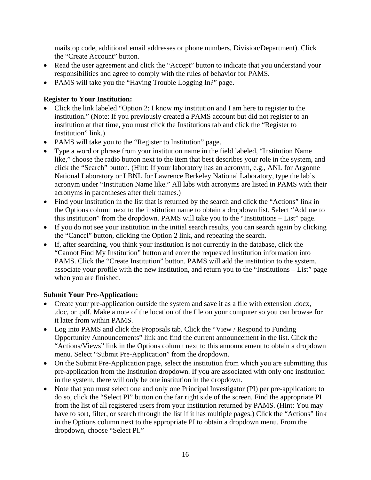mailstop code, additional email addresses or phone numbers, Division/Department). Click the "Create Account" button.

- Read the user agreement and click the "Accept" button to indicate that you understand your responsibilities and agree to comply with the rules of behavior for PAMS.
- PAMS will take you the "Having Trouble Logging In?" page.

## **Register to Your Institution:**

- Click the link labeled "Option 2: I know my institution and I am here to register to the institution." (Note: If you previously created a PAMS account but did not register to an institution at that time, you must click the Institutions tab and click the "Register to Institution" link.)
- PAMS will take you to the "Register to Institution" page.
- Type a word or phrase from your institution name in the field labeled, "Institution Name like," choose the radio button next to the item that best describes your role in the system, and click the "Search" button. (Hint: If your laboratory has an acronym, e.g., ANL for Argonne National Laboratory or LBNL for Lawrence Berkeley National Laboratory, type the lab's acronym under "Institution Name like." All labs with acronyms are listed in PAMS with their acronyms in parentheses after their names.)
- Find your institution in the list that is returned by the search and click the "Actions" link in the Options column next to the institution name to obtain a dropdown list. Select "Add me to this institution" from the dropdown. PAMS will take you to the "Institutions – List" page.
- If you do not see your institution in the initial search results, you can search again by clicking the "Cancel" button, clicking the Option 2 link, and repeating the search.
- If, after searching, you think your institution is not currently in the database, click the "Cannot Find My Institution" button and enter the requested institution information into PAMS. Click the "Create Institution" button. PAMS will add the institution to the system, associate your profile with the new institution, and return you to the "Institutions – List" page when you are finished.

# **Submit Your Pre-Application:**

- Create your pre-application outside the system and save it as a file with extension .docx, .doc, or .pdf. Make a note of the location of the file on your computer so you can browse for it later from within PAMS.
- Log into PAMS and click the Proposals tab. Click the "View / Respond to Funding" Opportunity Announcements" link and find the current announcement in the list. Click the "Actions/Views" link in the Options column next to this announcement to obtain a dropdown menu. Select "Submit Pre-Application" from the dropdown.
- On the Submit Pre-Application page, select the institution from which you are submitting this pre-application from the Institution dropdown. If you are associated with only one institution in the system, there will only be one institution in the dropdown.
- Note that you must select one and only one Principal Investigator (PI) per pre-application; to do so, click the "Select PI" button on the far right side of the screen. Find the appropriate PI from the list of all registered users from your institution returned by PAMS. (Hint: You may have to sort, filter, or search through the list if it has multiple pages.) Click the "Actions" link in the Options column next to the appropriate PI to obtain a dropdown menu. From the dropdown, choose "Select PI."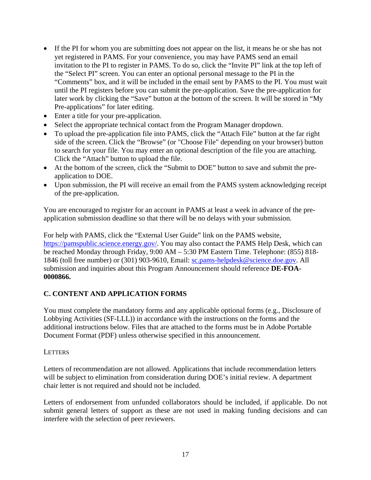- If the PI for whom you are submitting does not appear on the list, it means he or she has not yet registered in PAMS. For your convenience, you may have PAMS send an email invitation to the PI to register in PAMS. To do so, click the "Invite PI" link at the top left of the "Select PI" screen. You can enter an optional personal message to the PI in the "Comments" box, and it will be included in the email sent by PAMS to the PI. You must wait until the PI registers before you can submit the pre-application. Save the pre-application for later work by clicking the "Save" button at the bottom of the screen. It will be stored in "My Pre-applications" for later editing.
- Enter a title for your pre-application.
- Select the appropriate technical contact from the Program Manager dropdown.
- To upload the pre-application file into PAMS, click the "Attach File" button at the far right side of the screen. Click the "Browse" (or "Choose File" depending on your browser) button to search for your file. You may enter an optional description of the file you are attaching. Click the "Attach" button to upload the file.
- At the bottom of the screen, click the "Submit to DOE" button to save and submit the preapplication to DOE.
- Upon submission, the PI will receive an email from the PAMS system acknowledging receipt of the pre-application.

You are encouraged to register for an account in PAMS at least a week in advance of the preapplication submission deadline so that there will be no delays with your submission.

For help with PAMS, click the "External User Guide" link on the PAMS website, https://pamspublic.science.energy.gov/. You may also contact the PAMS Help Desk, which can be reached Monday through Friday, 9:00 AM – 5:30 PM Eastern Time. Telephone: (855) 818- 1846 (toll free number) or (301) 903-9610, Email: sc.pams-helpdesk@science.doe.gov. All submission and inquiries about this Program Announcement should reference **DE-FOA-0000866.**

# **C. CONTENT AND APPLICATION FORMS**

You must complete the mandatory forms and any applicable optional forms (e.g., Disclosure of Lobbying Activities (SF-LLL)) in accordance with the instructions on the forms and the additional instructions below. Files that are attached to the forms must be in Adobe Portable Document Format (PDF) unless otherwise specified in this announcement.

#### **LETTERS**

Letters of recommendation are not allowed. Applications that include recommendation letters will be subject to elimination from consideration during DOE's initial review. A department chair letter is not required and should not be included.

Letters of endorsement from unfunded collaborators should be included, if applicable. Do not submit general letters of support as these are not used in making funding decisions and can interfere with the selection of peer reviewers.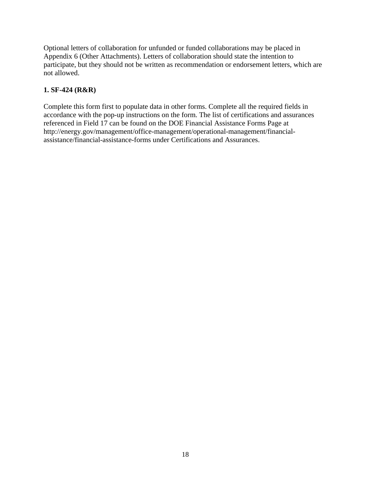Optional letters of collaboration for unfunded or funded collaborations may be placed in Appendix 6 (Other Attachments). Letters of collaboration should state the intention to participate, but they should not be written as recommendation or endorsement letters, which are not allowed.

# **1. SF-424 (R&R)**

Complete this form first to populate data in other forms. Complete all the required fields in accordance with the pop-up instructions on the form. The list of certifications and assurances referenced in Field 17 can be found on the DOE Financial Assistance Forms Page at http://energy.gov/management/office-management/operational-management/financialassistance/financial-assistance-forms under Certifications and Assurances.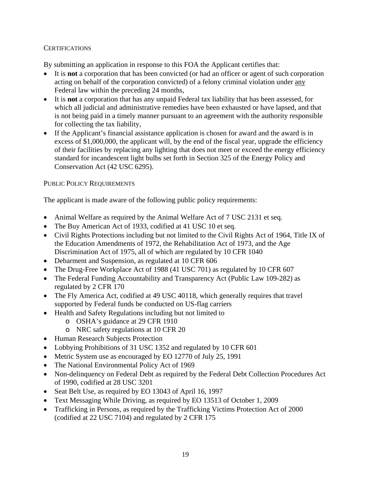## **CERTIFICATIONS**

By submitting an application in response to this FOA the Applicant certifies that:

- It is **not** a corporation that has been convicted (or had an officer or agent of such corporation acting on behalf of the corporation convicted) of a felony criminal violation under any Federal law within the preceding 24 months,
- It is **not** a corporation that has any unpaid Federal tax liability that has been assessed, for which all judicial and administrative remedies have been exhausted or have lapsed, and that is not being paid in a timely manner pursuant to an agreement with the authority responsible for collecting the tax liability,
- If the Applicant's financial assistance application is chosen for award and the award is in excess of \$1,000,000, the applicant will, by the end of the fiscal year, upgrade the efficiency of their facilities by replacing any lighting that does not meet or exceed the energy efficiency standard for incandescent light bulbs set forth in Section 325 of the Energy Policy and Conservation Act (42 USC 6295).

## PUBLIC POLICY REQUIREMENTS

The applicant is made aware of the following public policy requirements:

- Animal Welfare as required by the Animal Welfare Act of 7 USC 2131 et seq.
- The Buy American Act of 1933, codified at 41 USC 10 et seq.
- Civil Rights Protections including but not limited to the Civil Rights Act of 1964, Title IX of the Education Amendments of 1972, the Rehabilitation Act of 1973, and the Age Discrimination Act of 1975, all of which are regulated by 10 CFR 1040
- Debarment and Suspension, as regulated at 10 CFR 606
- The Drug-Free Workplace Act of 1988 (41 USC 701) as regulated by 10 CFR 607
- The Federal Funding Accountability and Transparency Act (Public Law 109-282) as regulated by 2 CFR 170
- The Fly America Act, codified at 49 USC 40118, which generally requires that travel supported by Federal funds be conducted on US-flag carriers
- Health and Safety Regulations including but not limited to
	- o OSHA's guidance at 29 CFR 1910
	- o NRC safety regulations at 10 CFR 20
- Human Research Subjects Protection
- Lobbying Prohibitions of 31 USC 1352 and regulated by 10 CFR 601
- Metric System use as encouraged by EO 12770 of July 25, 1991
- The National Environmental Policy Act of 1969
- Non-delinquency on Federal Debt as required by the Federal Debt Collection Procedures Act of 1990, codified at 28 USC 3201
- Seat Belt Use, as required by EO 13043 of April 16, 1997
- Text Messaging While Driving, as required by EO 13513 of October 1, 2009
- Trafficking in Persons, as required by the Trafficking Victims Protection Act of 2000 (codified at 22 USC 7104) and regulated by 2 CFR 175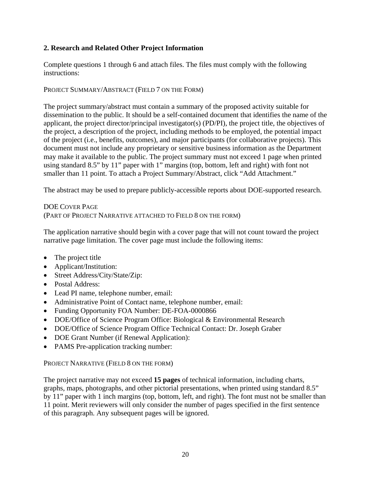## **2. Research and Related Other Project Information**

Complete questions 1 through 6 and attach files. The files must comply with the following instructions:

#### PROJECT SUMMARY/ABSTRACT (FIELD 7 ON THE FORM)

The project summary/abstract must contain a summary of the proposed activity suitable for dissemination to the public. It should be a self-contained document that identifies the name of the applicant, the project director/principal investigator(s) (PD/PI), the project title, the objectives of the project, a description of the project, including methods to be employed, the potential impact of the project (i.e., benefits, outcomes), and major participants (for collaborative projects). This document must not include any proprietary or sensitive business information as the Department may make it available to the public. The project summary must not exceed 1 page when printed using standard 8.5" by 11" paper with 1" margins (top, bottom, left and right) with font not smaller than 11 point. To attach a Project Summary/Abstract, click "Add Attachment."

The abstract may be used to prepare publicly-accessible reports about DOE-supported research.

## DOE COVER PAGE (PART OF PROJECT NARRATIVE ATTACHED TO FIELD 8 ON THE FORM)

The application narrative should begin with a cover page that will not count toward the project narrative page limitation. The cover page must include the following items:

- The project title
- Applicant/Institution:
- Street Address/City/State/Zip:
- Postal Address:
- Lead PI name, telephone number, email:
- Administrative Point of Contact name, telephone number, email:
- Funding Opportunity FOA Number: DE-FOA-0000866
- DOE/Office of Science Program Office: Biological & Environmental Research
- DOE/Office of Science Program Office Technical Contact: Dr. Joseph Graber
- DOE Grant Number (if Renewal Application):
- PAMS Pre-application tracking number:

## PROJECT NARRATIVE (FIELD 8 ON THE FORM)

The project narrative may not exceed **15 pages** of technical information, including charts, graphs, maps, photographs, and other pictorial presentations, when printed using standard 8.5" by 11" paper with 1 inch margins (top, bottom, left, and right). The font must not be smaller than 11 point. Merit reviewers will only consider the number of pages specified in the first sentence of this paragraph. Any subsequent pages will be ignored.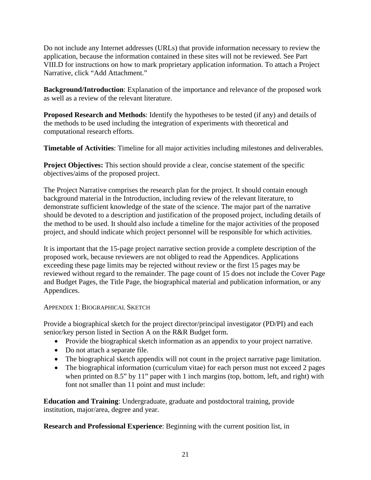Do not include any Internet addresses (URLs) that provide information necessary to review the application, because the information contained in these sites will not be reviewed. See Part VIII.D for instructions on how to mark proprietary application information. To attach a Project Narrative, click "Add Attachment."

**Background/Introduction**: Explanation of the importance and relevance of the proposed work as well as a review of the relevant literature.

**Proposed Research and Methods**: Identify the hypotheses to be tested (if any) and details of the methods to be used including the integration of experiments with theoretical and computational research efforts.

**Timetable of Activities**: Timeline for all major activities including milestones and deliverables.

**Project Objectives:** This section should provide a clear, concise statement of the specific objectives/aims of the proposed project.

The Project Narrative comprises the research plan for the project. It should contain enough background material in the Introduction, including review of the relevant literature, to demonstrate sufficient knowledge of the state of the science. The major part of the narrative should be devoted to a description and justification of the proposed project, including details of the method to be used. It should also include a timeline for the major activities of the proposed project, and should indicate which project personnel will be responsible for which activities.

It is important that the 15-page project narrative section provide a complete description of the proposed work, because reviewers are not obliged to read the Appendices. Applications exceeding these page limits may be rejected without review or the first 15 pages may be reviewed without regard to the remainder. The page count of 15 does not include the Cover Page and Budget Pages, the Title Page, the biographical material and publication information, or any Appendices.

## APPENDIX 1: BIOGRAPHICAL SKETCH

Provide a biographical sketch for the project director/principal investigator (PD/PI) and each senior/key person listed in Section A on the R&R Budget form.

- Provide the biographical sketch information as an appendix to your project narrative.
- Do not attach a separate file.
- The biographical sketch appendix will not count in the project narrative page limitation.
- The biographical information (curriculum vitae) for each person must not exceed 2 pages when printed on 8.5" by 11" paper with 1 inch margins (top, bottom, left, and right) with font not smaller than 11 point and must include:

**Education and Training**: Undergraduate, graduate and postdoctoral training, provide institution, major/area, degree and year.

**Research and Professional Experience**: Beginning with the current position list, in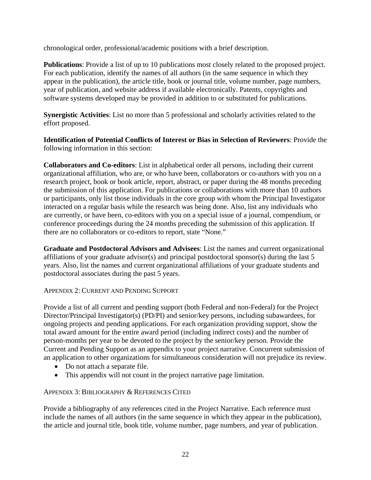chronological order, professional/academic positions with a brief description.

**Publications**: Provide a list of up to 10 publications most closely related to the proposed project. For each publication, identify the names of all authors (in the same sequence in which they appear in the publication), the article title, book or journal title, volume number, page numbers, year of publication, and website address if available electronically. Patents, copyrights and software systems developed may be provided in addition to or substituted for publications.

**Synergistic Activities**: List no more than 5 professional and scholarly activities related to the effort proposed.

**Identification of Potential Conflicts of Interest or Bias in Selection of Reviewers**: Provide the following information in this section:

**Collaborators and Co-editors**: List in alphabetical order all persons, including their current organizational affiliation, who are, or who have been, collaborators or co-authors with you on a research project, book or book article, report, abstract, or paper during the 48 months preceding the submission of this application. For publications or collaborations with more than 10 authors or participants, only list those individuals in the core group with whom the Principal Investigator interacted on a regular basis while the research was being done. Also, list any individuals who are currently, or have been, co-editors with you on a special issue of a journal, compendium, or conference proceedings during the 24 months preceding the submission of this application. If there are no collaborators or co-editors to report, state "None."

**Graduate and Postdoctoral Advisors and Advisees**: List the names and current organizational affiliations of your graduate advisor(s) and principal postdoctoral sponsor(s) during the last 5 years. Also, list the names and current organizational affiliations of your graduate students and postdoctoral associates during the past 5 years.

APPENDIX 2: CURRENT AND PENDING SUPPORT

Provide a list of all current and pending support (both Federal and non-Federal) for the Project Director/Principal Investigator(s) (PD/PI) and senior/key persons, including subawardees, for ongoing projects and pending applications. For each organization providing support, show the total award amount for the entire award period (including indirect costs) and the number of person-months per year to be devoted to the project by the senior/key person. Provide the Current and Pending Support as an appendix to your project narrative. Concurrent submission of an application to other organizations for simultaneous consideration will not prejudice its review.

- Do not attach a separate file.
- This appendix will not count in the project narrative page limitation.

APPENDIX 3: BIBLIOGRAPHY & REFERENCES CITED

Provide a bibliography of any references cited in the Project Narrative. Each reference must include the names of all authors (in the same sequence in which they appear in the publication), the article and journal title, book title, volume number, page numbers, and year of publication.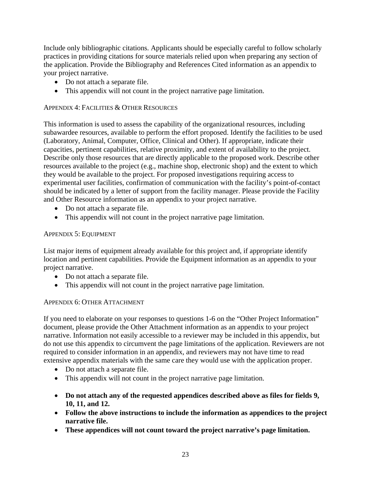Include only bibliographic citations. Applicants should be especially careful to follow scholarly practices in providing citations for source materials relied upon when preparing any section of the application. Provide the Bibliography and References Cited information as an appendix to your project narrative.

- Do not attach a separate file.
- This appendix will not count in the project narrative page limitation.

#### APPENDIX 4: FACILITIES & OTHER RESOURCES

This information is used to assess the capability of the organizational resources, including subawardee resources, available to perform the effort proposed. Identify the facilities to be used (Laboratory, Animal, Computer, Office, Clinical and Other). If appropriate, indicate their capacities, pertinent capabilities, relative proximity, and extent of availability to the project. Describe only those resources that are directly applicable to the proposed work. Describe other resources available to the project (e.g., machine shop, electronic shop) and the extent to which they would be available to the project. For proposed investigations requiring access to experimental user facilities, confirmation of communication with the facility's point-of-contact should be indicated by a letter of support from the facility manager. Please provide the Facility and Other Resource information as an appendix to your project narrative.

- Do not attach a separate file.
- This appendix will not count in the project narrative page limitation.

#### APPENDIX 5: EQUIPMENT

List major items of equipment already available for this project and, if appropriate identify location and pertinent capabilities. Provide the Equipment information as an appendix to your project narrative.

- Do not attach a separate file.
- This appendix will not count in the project narrative page limitation.

## APPENDIX 6: OTHER ATTACHMENT

If you need to elaborate on your responses to questions 1-6 on the "Other Project Information" document, please provide the Other Attachment information as an appendix to your project narrative. Information not easily accessible to a reviewer may be included in this appendix, but do not use this appendix to circumvent the page limitations of the application. Reviewers are not required to consider information in an appendix, and reviewers may not have time to read extensive appendix materials with the same care they would use with the application proper.

- Do not attach a separate file.
- This appendix will not count in the project narrative page limitation.
- **Do not attach any of the requested appendices described above as files for fields 9, 10, 11, and 12.**
- **Follow the above instructions to include the information as appendices to the project narrative file.**
- **These appendices will not count toward the project narrative's page limitation.**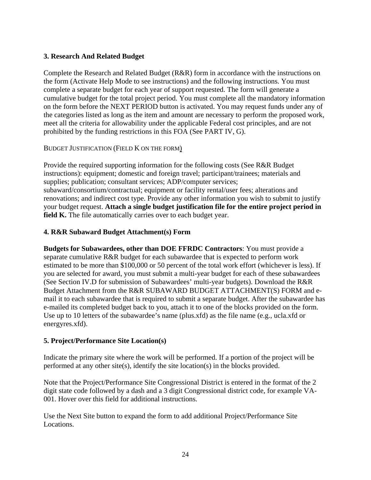## **3. Research And Related Budget**

Complete the Research and Related Budget (R&R) form in accordance with the instructions on the form (Activate Help Mode to see instructions) and the following instructions. You must complete a separate budget for each year of support requested. The form will generate a cumulative budget for the total project period. You must complete all the mandatory information on the form before the NEXT PERIOD button is activated. You may request funds under any of the categories listed as long as the item and amount are necessary to perform the proposed work, meet all the criteria for allowability under the applicable Federal cost principles, and are not prohibited by the funding restrictions in this FOA (See PART IV, G).

## BUDGET JUSTIFICATION (FIELD K ON THE FORM)

Provide the required supporting information for the following costs (See R&R Budget instructions): equipment; domestic and foreign travel; participant/trainees; materials and supplies; publication; consultant services; ADP/computer services; subaward/consortium/contractual; equipment or facility rental/user fees; alterations and renovations; and indirect cost type. Provide any other information you wish to submit to justify your budget request. **Attach a single budget justification file for the entire project period in field K.** The file automatically carries over to each budget year.

## **4. R&R Subaward Budget Attachment(s) Form**

**Budgets for Subawardees, other than DOE FFRDC Contractors**: You must provide a separate cumulative R&R budget for each subawardee that is expected to perform work estimated to be more than \$100,000 or 50 percent of the total work effort (whichever is less). If you are selected for award, you must submit a multi-year budget for each of these subawardees (See Section IV.D for submission of Subawardees' multi-year budgets). Download the R&R Budget Attachment from the R&R SUBAWARD BUDGET ATTACHMENT(S) FORM and email it to each subawardee that is required to submit a separate budget. After the subawardee has e-mailed its completed budget back to you, attach it to one of the blocks provided on the form. Use up to 10 letters of the subawardee's name (plus.xfd) as the file name (e.g., ucla.xfd or energyres.xfd).

## **5. Project/Performance Site Location(s)**

Indicate the primary site where the work will be performed. If a portion of the project will be performed at any other site(s), identify the site location(s) in the blocks provided.

Note that the Project/Performance Site Congressional District is entered in the format of the 2 digit state code followed by a dash and a 3 digit Congressional district code, for example VA-001. Hover over this field for additional instructions.

Use the Next Site button to expand the form to add additional Project/Performance Site Locations.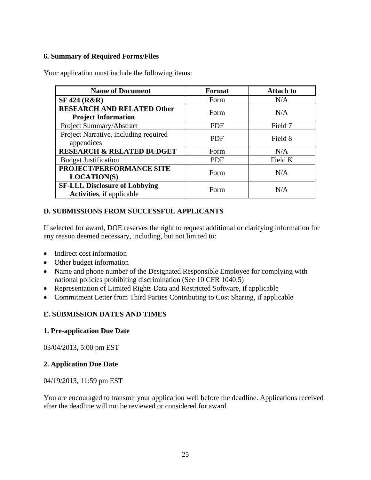## **6. Summary of Required Forms/Files**

| <b>Name of Document</b>                                                  | Format     | <b>Attach to</b> |
|--------------------------------------------------------------------------|------------|------------------|
| <b>SF 424 (R&amp;R)</b>                                                  | Form       | N/A              |
| <b>RESEARCH AND RELATED Other</b><br><b>Project Information</b>          | Form       | N/A              |
| Project Summary/Abstract                                                 | <b>PDF</b> | Field 7          |
| Project Narrative, including required<br>appendices                      | <b>PDF</b> | Field 8          |
| <b>RESEARCH &amp; RELATED BUDGET</b>                                     | Form       | N/A              |
| <b>Budget Justification</b>                                              | <b>PDF</b> | Field K          |
| PROJECT/PERFORMANCE SITE<br><b>LOCATION(S)</b>                           | Form       | N/A              |
| <b>SF-LLL Disclosure of Lobbying</b><br><b>Activities, if applicable</b> | Form       | N/A              |

Your application must include the following items:

## **D. SUBMISSIONS FROM SUCCESSFUL APPLICANTS**

If selected for award, DOE reserves the right to request additional or clarifying information for any reason deemed necessary, including, but not limited to:

- Indirect cost information
- Other budget information
- Name and phone number of the Designated Responsible Employee for complying with national policies prohibiting discrimination (See 10 CFR 1040.5)
- Representation of Limited Rights Data and Restricted Software, if applicable
- Commitment Letter from Third Parties Contributing to Cost Sharing, if applicable

## **E. SUBMISSION DATES AND TIMES**

#### **1. Pre-application Due Date**

03/04/2013, 5:00 pm EST

#### **2. Application Due Date**

04/19/2013, 11:59 pm EST

You are encouraged to transmit your application well before the deadline. Applications received after the deadline will not be reviewed or considered for award.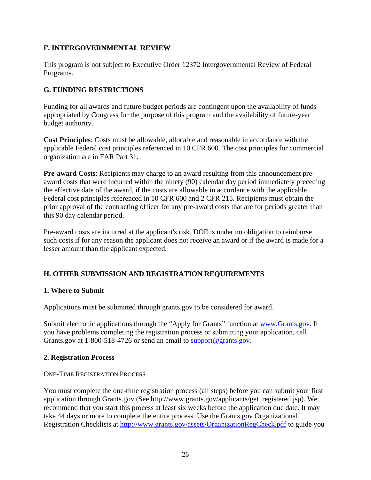## **F. INTERGOVERNMENTAL REVIEW**

This program is not subject to Executive Order 12372 Intergovernmental Review of Federal Programs.

## **G. FUNDING RESTRICTIONS**

Funding for all awards and future budget periods are contingent upon the availability of funds appropriated by Congress for the purpose of this program and the availability of future-year budget authority.

**Cost Principles**: Costs must be allowable, allocable and reasonable in accordance with the applicable Federal cost principles referenced in 10 CFR 600. The cost principles for commercial organization are in FAR Part 31.

**Pre-award Costs**: Recipients may charge to an award resulting from this announcement preaward costs that were incurred within the ninety (90) calendar day period immediately preceding the effective date of the award, if the costs are allowable in accordance with the applicable Federal cost principles referenced in 10 CFR 600 and 2 CFR 215. Recipients must obtain the prior approval of the contracting officer for any pre-award costs that are for periods greater than this 90 day calendar period.

Pre-award costs are incurred at the applicant's risk. DOE is under no obligation to reimburse such costs if for any reason the applicant does not receive an award or if the award is made for a lesser amount than the applicant expected.

# **H. OTHER SUBMISSION AND REGISTRATION REQUIREMENTS**

## **1. Where to Submit**

Applications must be submitted through grants.gov to be considered for award.

Submit electronic applications through the "Apply for Grants" function at www.Grants.gov. If you have problems completing the registration process or submitting your application, call Grants.gov at 1-800-518-4726 or send an email to support@grants.gov.

#### **2. Registration Process**

#### ONE-TIME REGISTRATION PROCESS

You must complete the one-time registration process (all steps) before you can submit your first application through Grants.gov (See http://www.grants.gov/applicants/get\_registered.jsp). We recommend that you start this process at least six weeks before the application due date. It may take 44 days or more to complete the entire process. Use the Grants.gov Organizational Registration Checklists at http://www.grants.gov/assets/OrganizationRegCheck.pdf to guide you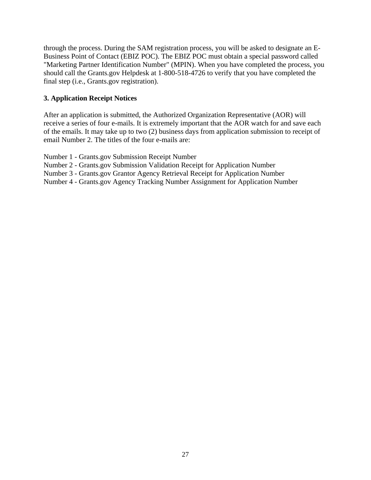through the process. During the SAM registration process, you will be asked to designate an E-Business Point of Contact (EBIZ POC). The EBIZ POC must obtain a special password called "Marketing Partner Identification Number" (MPIN). When you have completed the process, you should call the Grants.gov Helpdesk at 1-800-518-4726 to verify that you have completed the final step (i.e., Grants.gov registration).

## **3. Application Receipt Notices**

After an application is submitted, the Authorized Organization Representative (AOR) will receive a series of four e-mails. It is extremely important that the AOR watch for and save each of the emails. It may take up to two (2) business days from application submission to receipt of email Number 2. The titles of the four e-mails are:

Number 1 - Grants.gov Submission Receipt Number

Number 2 - Grants.gov Submission Validation Receipt for Application Number

Number 3 - Grants.gov Grantor Agency Retrieval Receipt for Application Number

Number 4 - Grants.gov Agency Tracking Number Assignment for Application Number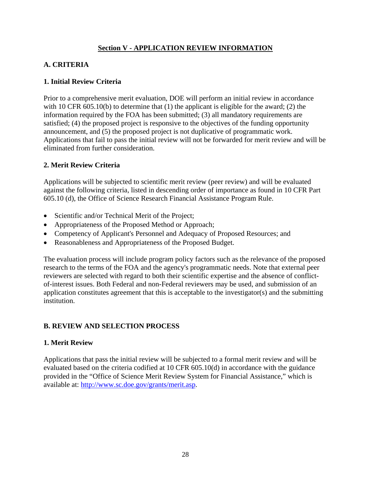## **Section V - APPLICATION REVIEW INFORMATION**

## **A. CRITERIA**

## **1. Initial Review Criteria**

Prior to a comprehensive merit evaluation, DOE will perform an initial review in accordance with 10 CFR 605.10(b) to determine that (1) the applicant is eligible for the award; (2) the information required by the FOA has been submitted; (3) all mandatory requirements are satisfied; (4) the proposed project is responsive to the objectives of the funding opportunity announcement, and (5) the proposed project is not duplicative of programmatic work. Applications that fail to pass the initial review will not be forwarded for merit review and will be eliminated from further consideration.

## **2. Merit Review Criteria**

Applications will be subjected to scientific merit review (peer review) and will be evaluated against the following criteria, listed in descending order of importance as found in 10 CFR Part 605.10 (d), the Office of Science Research Financial Assistance Program Rule.

- Scientific and/or Technical Merit of the Project;
- Appropriateness of the Proposed Method or Approach;
- Competency of Applicant's Personnel and Adequacy of Proposed Resources; and
- Reasonableness and Appropriateness of the Proposed Budget.

The evaluation process will include program policy factors such as the relevance of the proposed research to the terms of the FOA and the agency's programmatic needs. Note that external peer reviewers are selected with regard to both their scientific expertise and the absence of conflictof-interest issues. Both Federal and non-Federal reviewers may be used, and submission of an application constitutes agreement that this is acceptable to the investigator(s) and the submitting institution.

## **B. REVIEW AND SELECTION PROCESS**

#### **1. Merit Review**

Applications that pass the initial review will be subjected to a formal merit review and will be evaluated based on the criteria codified at 10 CFR 605.10(d) in accordance with the guidance provided in the "Office of Science Merit Review System for Financial Assistance," which is available at: http://www.sc.doe.gov/grants/merit.asp.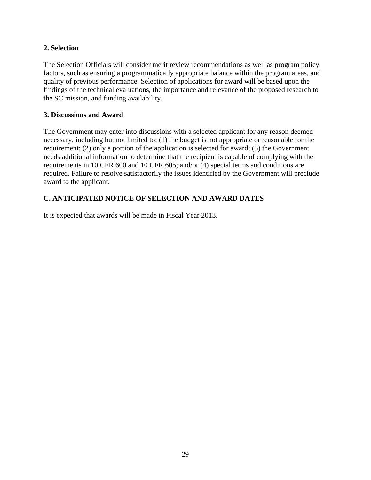## **2. Selection**

The Selection Officials will consider merit review recommendations as well as program policy factors, such as ensuring a programmatically appropriate balance within the program areas, and quality of previous performance. Selection of applications for award will be based upon the findings of the technical evaluations, the importance and relevance of the proposed research to the SC mission, and funding availability.

#### **3. Discussions and Award**

The Government may enter into discussions with a selected applicant for any reason deemed necessary, including but not limited to: (1) the budget is not appropriate or reasonable for the requirement; (2) only a portion of the application is selected for award; (3) the Government needs additional information to determine that the recipient is capable of complying with the requirements in 10 CFR 600 and 10 CFR 605; and/or (4) special terms and conditions are required. Failure to resolve satisfactorily the issues identified by the Government will preclude award to the applicant.

# **C. ANTICIPATED NOTICE OF SELECTION AND AWARD DATES**

It is expected that awards will be made in Fiscal Year 2013.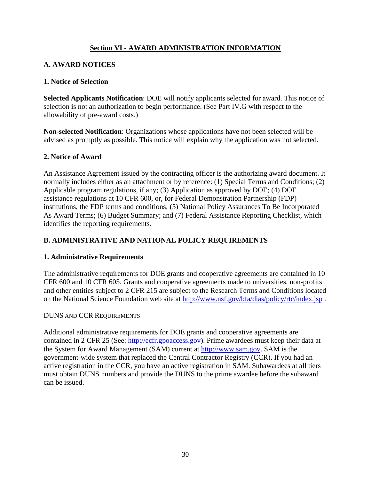## **Section VI - AWARD ADMINISTRATION INFORMATION**

## **A. AWARD NOTICES**

#### **1. Notice of Selection**

**Selected Applicants Notification**: DOE will notify applicants selected for award. This notice of selection is not an authorization to begin performance. (See Part IV.G with respect to the allowability of pre-award costs.)

**Non-selected Notification**: Organizations whose applications have not been selected will be advised as promptly as possible. This notice will explain why the application was not selected.

#### **2. Notice of Award**

An Assistance Agreement issued by the contracting officer is the authorizing award document. It normally includes either as an attachment or by reference: (1) Special Terms and Conditions; (2) Applicable program regulations, if any; (3) Application as approved by DOE; (4) DOE assistance regulations at 10 CFR 600, or, for Federal Demonstration Partnership (FDP) institutions, the FDP terms and conditions; (5) National Policy Assurances To Be Incorporated As Award Terms; (6) Budget Summary; and (7) Federal Assistance Reporting Checklist, which identifies the reporting requirements.

## **B. ADMINISTRATIVE AND NATIONAL POLICY REQUIREMENTS**

#### **1. Administrative Requirements**

The administrative requirements for DOE grants and cooperative agreements are contained in 10 CFR 600 and 10 CFR 605. Grants and cooperative agreements made to universities, non-profits and other entities subject to 2 CFR 215 are subject to the Research Terms and Conditions located on the National Science Foundation web site at http://www.nsf.gov/bfa/dias/policy/rtc/index.jsp .

#### DUNS AND CCR REQUIREMENTS

Additional administrative requirements for DOE grants and cooperative agreements are contained in 2 CFR 25 (See: http://ecfr.gpoaccess.gov). Prime awardees must keep their data at the System for Award Management (SAM) current at http://www.sam.gov. SAM is the government-wide system that replaced the Central Contractor Registry (CCR). If you had an active registration in the CCR, you have an active registration in SAM. Subawardees at all tiers must obtain DUNS numbers and provide the DUNS to the prime awardee before the subaward can be issued.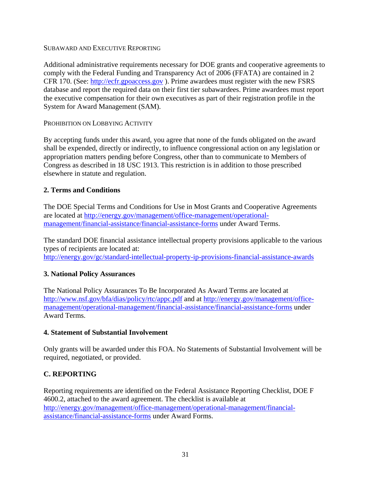#### SUBAWARD AND EXECUTIVE REPORTING

Additional administrative requirements necessary for DOE grants and cooperative agreements to comply with the Federal Funding and Transparency Act of 2006 (FFATA) are contained in 2 CFR 170. (See: http://ecfr.gpoaccess.gov ). Prime awardees must register with the new FSRS database and report the required data on their first tier subawardees. Prime awardees must report the executive compensation for their own executives as part of their registration profile in the System for Award Management (SAM).

#### PROHIBITION ON LOBBYING ACTIVITY

By accepting funds under this award, you agree that none of the funds obligated on the award shall be expended, directly or indirectly, to influence congressional action on any legislation or appropriation matters pending before Congress, other than to communicate to Members of Congress as described in 18 USC 1913. This restriction is in addition to those prescribed elsewhere in statute and regulation.

## **2. Terms and Conditions**

The DOE Special Terms and Conditions for Use in Most Grants and Cooperative Agreements are located at http://energy.gov/management/office-management/operationalmanagement/financial-assistance/financial-assistance-forms under Award Terms.

The standard DOE financial assistance intellectual property provisions applicable to the various types of recipients are located at: http://energy.gov/gc/standard-intellectual-property-ip-provisions-financial-assistance-awards

## **3. National Policy Assurances**

The National Policy Assurances To Be Incorporated As Award Terms are located at http://www.nsf.gov/bfa/dias/policy/rtc/appc.pdf and at http://energy.gov/management/officemanagement/operational-management/financial-assistance/financial-assistance-forms under Award Terms.

## **4. Statement of Substantial Involvement**

Only grants will be awarded under this FOA. No Statements of Substantial Involvement will be required, negotiated, or provided.

# **C. REPORTING**

Reporting requirements are identified on the Federal Assistance Reporting Checklist, DOE F 4600.2, attached to the award agreement. The checklist is available at http://energy.gov/management/office-management/operational-management/financialassistance/financial-assistance-forms under Award Forms.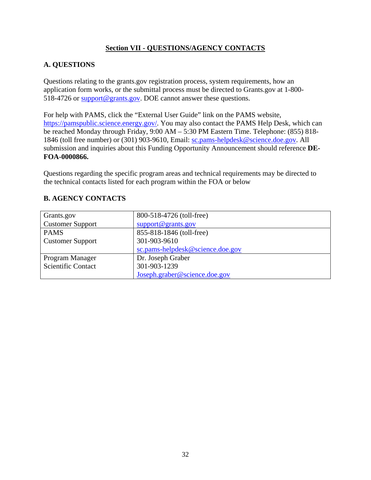## **Section VII - QUESTIONS/AGENCY CONTACTS**

## **A. QUESTIONS**

Questions relating to the grants.gov registration process, system requirements, how an application form works, or the submittal process must be directed to Grants.gov at 1-800- 518-4726 or support@grants.gov. DOE cannot answer these questions.

For help with PAMS, click the "External User Guide" link on the PAMS website, https://pamspublic.science.energy.gov/. You may also contact the PAMS Help Desk, which can be reached Monday through Friday, 9:00 AM – 5:30 PM Eastern Time. Telephone: (855) 818- 1846 (toll free number) or (301) 903-9610, Email: sc.pams-helpdesk@science.doe.gov. All submission and inquiries about this Funding Opportunity Announcement should reference **DE-FOA-0000866.**

Questions regarding the specific program areas and technical requirements may be directed to the technical contacts listed for each program within the FOA or below

| Grants.gov                | 800-518-4726 (toll-free)         |
|---------------------------|----------------------------------|
| <b>Customer Support</b>   | support@grams.gov                |
| <b>PAMS</b>               | 855-818-1846 (toll-free)         |
| <b>Customer Support</b>   | 301-903-9610                     |
|                           | sc.pams-helpdesk@science.doe.gov |
| Program Manager           | Dr. Joseph Graber                |
| <b>Scientific Contact</b> | 301-903-1239                     |
|                           | Joseph.graber@science.doe.gov    |

## **B. AGENCY CONTACTS**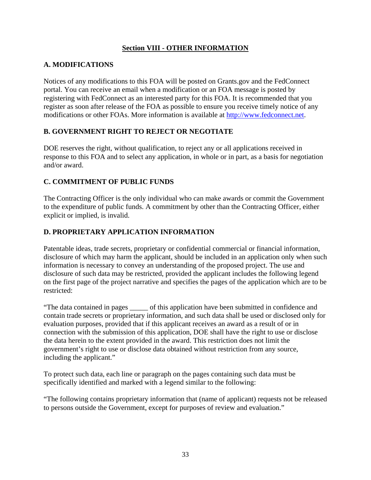# **Section VIII - OTHER INFORMATION**

# **A. MODIFICATIONS**

Notices of any modifications to this FOA will be posted on Grants.gov and the FedConnect portal. You can receive an email when a modification or an FOA message is posted by registering with FedConnect as an interested party for this FOA. It is recommended that you register as soon after release of the FOA as possible to ensure you receive timely notice of any modifications or other FOAs. More information is available at http://www.fedconnect.net.

# **B. GOVERNMENT RIGHT TO REJECT OR NEGOTIATE**

DOE reserves the right, without qualification, to reject any or all applications received in response to this FOA and to select any application, in whole or in part, as a basis for negotiation and/or award.

# **C. COMMITMENT OF PUBLIC FUNDS**

The Contracting Officer is the only individual who can make awards or commit the Government to the expenditure of public funds. A commitment by other than the Contracting Officer, either explicit or implied, is invalid.

# **D. PROPRIETARY APPLICATION INFORMATION**

Patentable ideas, trade secrets, proprietary or confidential commercial or financial information, disclosure of which may harm the applicant, should be included in an application only when such information is necessary to convey an understanding of the proposed project. The use and disclosure of such data may be restricted, provided the applicant includes the following legend on the first page of the project narrative and specifies the pages of the application which are to be restricted:

"The data contained in pages \_\_\_\_\_ of this application have been submitted in confidence and contain trade secrets or proprietary information, and such data shall be used or disclosed only for evaluation purposes, provided that if this applicant receives an award as a result of or in connection with the submission of this application, DOE shall have the right to use or disclose the data herein to the extent provided in the award. This restriction does not limit the government's right to use or disclose data obtained without restriction from any source, including the applicant."

To protect such data, each line or paragraph on the pages containing such data must be specifically identified and marked with a legend similar to the following:

"The following contains proprietary information that (name of applicant) requests not be released to persons outside the Government, except for purposes of review and evaluation."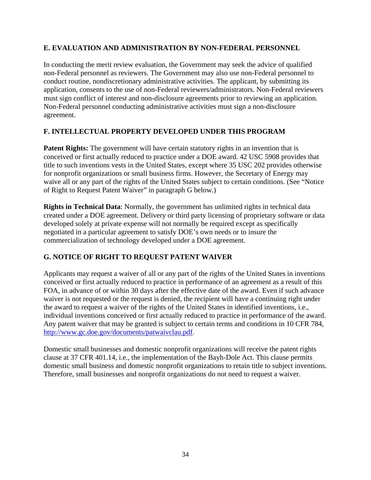## **E. EVALUATION AND ADMINISTRATION BY NON-FEDERAL PERSONNEL**

In conducting the merit review evaluation, the Government may seek the advice of qualified non-Federal personnel as reviewers. The Government may also use non-Federal personnel to conduct routine, nondiscretionary administrative activities. The applicant, by submitting its application, consents to the use of non-Federal reviewers/administrators. Non-Federal reviewers must sign conflict of interest and non-disclosure agreements prior to reviewing an application. Non-Federal personnel conducting administrative activities must sign a non-disclosure agreement.

# **F. INTELLECTUAL PROPERTY DEVELOPED UNDER THIS PROGRAM**

**Patent Rights:** The government will have certain statutory rights in an invention that is conceived or first actually reduced to practice under a DOE award. 42 USC 5908 provides that title to such inventions vests in the United States, except where 35 USC 202 provides otherwise for nonprofit organizations or small business firms. However, the Secretary of Energy may waive all or any part of the rights of the United States subject to certain conditions. (See "Notice of Right to Request Patent Waiver" in paragraph G below.)

**Rights in Technical Data:** Normally, the government has unlimited rights in technical data created under a DOE agreement. Delivery or third party licensing of proprietary software or data developed solely at private expense will not normally be required except as specifically negotiated in a particular agreement to satisfy DOE's own needs or to insure the commercialization of technology developed under a DOE agreement.

# **G. NOTICE OF RIGHT TO REQUEST PATENT WAIVER**

Applicants may request a waiver of all or any part of the rights of the United States in inventions conceived or first actually reduced to practice in performance of an agreement as a result of this FOA, in advance of or within 30 days after the effective date of the award. Even if such advance waiver is not requested or the request is denied, the recipient will have a continuing right under the award to request a waiver of the rights of the United States in identified inventions, i.e., individual inventions conceived or first actually reduced to practice in performance of the award. Any patent waiver that may be granted is subject to certain terms and conditions in 10 CFR 784, http://www.gc.doe.gov/documents/patwaivclau.pdf.

Domestic small businesses and domestic nonprofit organizations will receive the patent rights clause at 37 CFR 401.14, i.e., the implementation of the Bayh-Dole Act. This clause permits domestic small business and domestic nonprofit organizations to retain title to subject inventions. Therefore, small businesses and nonprofit organizations do not need to request a waiver.